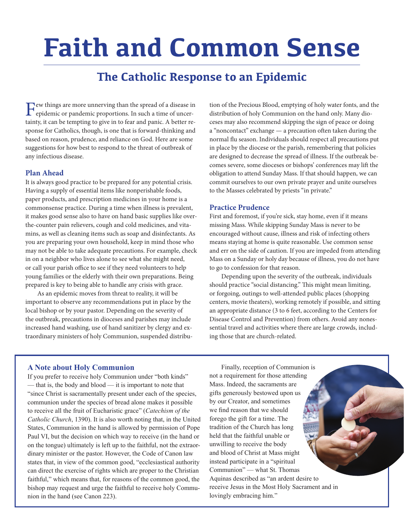# **Faith and Common Sense**

## **The Catholic Response to an Epidemic**

Few things are more unnerving than the spread of a disease in epidemic or pandemic proportions. In such a time of uncertainty, it can be tempting to give in to fear and panic. A better response for Catholics, though, is one that is forward-thinking and based on reason, prudence, and reliance on God. Here are some suggestions for how best to respond to the threat of outbreak of any infectious disease.

#### **Plan Ahead**

It is always good practice to be prepared for any potential crisis. Having a supply of essential items like nonperishable foods, paper products, and prescription medicines in your home is a commonsense practice. During a time when illness is prevalent, it makes good sense also to have on hand basic supplies like overthe-counter pain relievers, cough and cold medicines, and vitamins, as well as cleaning items such as soap and disinfectants. As you are preparing your own household, keep in mind those who may not be able to take adequate precautions. For example, check in on a neighbor who lives alone to see what she might need, or call your parish office to see if they need volunteers to help young families or the elderly with their own preparations. Being prepared is key to being able to handle any crisis with grace.

As an epidemic moves from threat to reality, it will be important to observe any recommendations put in place by the local bishop or by your pastor. Depending on the severity of the outbreak, precautions in dioceses and parishes may include increased hand washing, use of hand sanitizer by clergy and extraordinary ministers of holy Communion, suspended distribution of the Precious Blood, emptying of holy water fonts, and the distribution of holy Communion on the hand only. Many dioceses may also recommend skipping the sign of peace or doing a "noncontact" exchange — a precaution often taken during the normal flu season. Individuals should respect all precautions put in place by the diocese or the parish, remembering that policies are designed to decrease the spread of illness. If the outbreak becomes severe, some dioceses or bishops' conferences may lift the obligation to attend Sunday Mass. If that should happen, we can commit ourselves to our own private prayer and unite ourselves to the Masses celebrated by priests "in private."

#### **Practice Prudence**

First and foremost, if you're sick, stay home, even if it means missing Mass. While skipping Sunday Mass is never to be encouraged without cause, illness and risk of infecting others means staying at home is quite reasonable. Use common sense and err on the side of caution. If you are impeded from attending Mass on a Sunday or holy day because of illness, you do not have to go to confession for that reason.

Depending upon the severity of the outbreak, individuals should practice "social distancing." This might mean limiting, or forgoing, outings to well-attended public places (shopping centers, movie theaters), working remotely if possible, and sitting an appropriate distance (3 to 6 feet, according to the Centers for Disease Control and Prevention) from others. Avoid any nonessential travel and activities where there are large crowds, including those that are church-related.

#### **A Note about Holy Communion**

If you prefer to receive holy Communion under "both kinds" — that is, the body and blood — it is important to note that "since Christ is sacramentally present under each of the species, communion under the species of bread alone makes it possible to receive all the fruit of Eucharistic grace" (*Catechism of the Catholic Church*, 1390). It is also worth noting that, in the United States, Communion in the hand is allowed by permission of Pope Paul VI, but the decision on which way to receive (in the hand or on the tongue) ultimately is left up to the faithful, not the extraordinary minister or the pastor. However, the Code of Canon law states that, in view of the common good, "ecclesiastical authority can direct the exercise of rights which are proper to the Christian faithful," which means that, for reasons of the common good, the bishop may request and urge the faithful to receive holy Communion in the hand (see Canon 223).

Finally, reception of Communion is not a requirement for those attending Mass. Indeed, the sacraments are gifts generously bestowed upon us by our Creator, and sometimes we find reason that we should forego the gift for a time. The tradition of the Church has long held that the faithful unable or unwilling to receive the body and blood of Christ at Mass might instead participate in a "spiritual Communion" — what St. Thomas Aquinas described as "an ardent desire to receive Jesus in the Most Holy Sacrament and in lovingly embracing him."